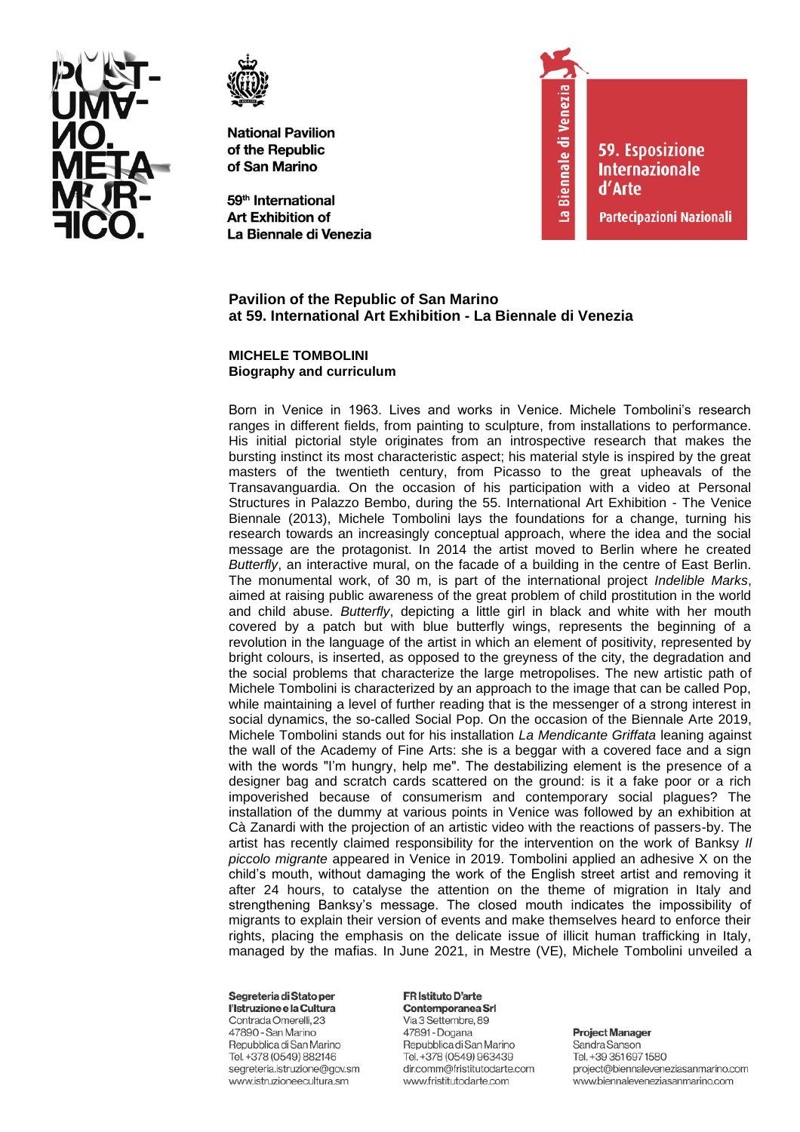



59<sup>th</sup> International **Art Exhibition of** La Biennale di Venezia



**59. Esposizione Internazionale** d'Arte

Partecipazioni Nazionali

# Pavilion of the Republic of San Marino at 59. International Art Exhibition - La Biennale di Venezia

## **MICHELE TOMBOLINI Biography and curriculum**

Born in Venice in 1963. Lives and works in Venice. Michele Tombolini's research ranges in different fields, from painting to sculpture, from installations to performance. His initial pictorial style originates from an introspective research that makes the bursting instinct its most characteristic aspect; his material style is inspired by the great masters of the twentieth century, from Picasso to the great upheavals of the Transavanguardia. On the occasion of his participation with a video at Personal Structures in Palazzo Bembo, during the 55. International Art Exhibition - The Venice Biennale (2013), Michele Tombolini lays the foundations for a change, turning his research towards an increasingly conceptual approach, where the idea and the social message are the protagonist. In 2014 the artist moved to Berlin where he created Butterfly, an interactive mural, on the facade of a building in the centre of East Berlin. The monumental work, of 30 m, is part of the international project Indelible Marks, aimed at raising public awareness of the great problem of child prostitution in the world and child abuse. Butterfly, depicting a little girl in black and white with her mouth covered by a patch but with blue butterfly wings, represents the beginning of a revolution in the language of the artist in which an element of positivity, represented by bright colours, is inserted, as opposed to the greyness of the city, the degradation and the social problems that characterize the large metropolises. The new artistic path of Michele Tombolini is characterized by an approach to the image that can be called Pop, while maintaining a level of further reading that is the messenger of a strong interest in social dynamics, the so-called Social Pop. On the occasion of the Biennale Arte 2019, Michele Tombolini stands out for his installation La Mendicante Griffata leaning against the wall of the Academy of Fine Arts: she is a beggar with a covered face and a sign with the words "I'm hungry, help me". The destabilizing element is the presence of a designer bag and scratch cards scattered on the ground: is it a fake poor or a rich impoverished because of consumerism and contemporary social plagues? The installation of the dummy at various points in Venice was followed by an exhibition at Cà Zanardi with the projection of an artistic video with the reactions of passers-by. The artist has recently claimed responsibility for the intervention on the work of Banksy II piccolo migrante appeared in Venice in 2019. Tombolini applied an adhesive X on the child's mouth, without damaging the work of the English street artist and removing it after 24 hours, to catalyse the attention on the theme of migration in Italy and strengthening Banksy's message. The closed mouth indicates the impossibility of migrants to explain their version of events and make themselves heard to enforce their rights, placing the emphasis on the delicate issue of illicit human trafficking in Italy, managed by the mafias. In June 2021, in Mestre (VE), Michele Tombolini unveiled a

### Segreteria di Stato per

l'Istruzione e la Cultura Contrada Omerelli, 23 47890 - San Marino Repubblica di San Marino Tel. +378 (0549) 882146 segreteria.istruzione@gov.sm www.istruzioneecultura.sm

## **FR Istituto D'arte** Contemporanea Srl

Via 3 Settembre, 89 47891 - Dogana Repubblica di San Marino Tel. +378 (0549) 963439 dir.comm@fristitutodarte.com www.fristitutodarte.com

**Project Manager**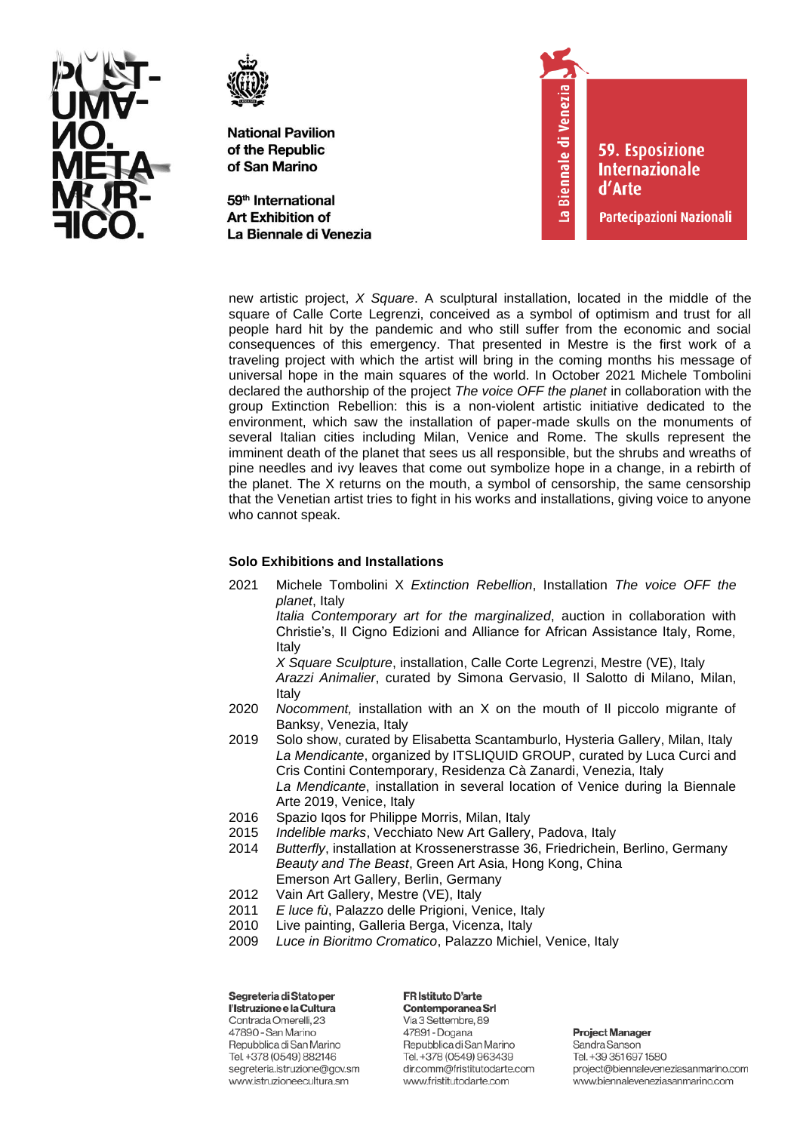



59<sup>th</sup> International **Art Exhibition of** La Biennale di Venezia



**59. Esposizione Internazionale** d'Arte

Partecipazioni Nazionali

new artistic project, *X Square*. A sculptural installation, located in the middle of the square of Calle Corte Legrenzi, conceived as a symbol of optimism and trust for all people hard hit by the pandemic and who still suffer from the economic and social consequences of this emergency. That presented in Mestre is the first work of a traveling project with which the artist will bring in the coming months his message of universal hope in the main squares of the world. In October 2021 Michele Tombolini declared the authorship of the project *The voice OFF the planet* in collaboration with the group Extinction Rebellion: this is a non-violent artistic initiative dedicated to the environment, which saw the installation of paper-made skulls on the monuments of several Italian cities including Milan, Venice and Rome. The skulls represent the imminent death of the planet that sees us all responsible, but the shrubs and wreaths of pine needles and ivy leaves that come out symbolize hope in a change, in a rebirth of the planet. The X returns on the mouth, a symbol of censorship, the same censorship that the Venetian artist tries to fight in his works and installations, giving voice to anyone who cannot speak.

# **Solo Exhibitions and Installations**

2021 Michele Tombolini X *Extinction Rebellion*, Installation *The voice OFF the planet*, Italy

*Italia Contemporary art for the marginalized*, auction in collaboration with Christie's, Il Cigno Edizioni and Alliance for African Assistance Italy, Rome, Italy

*X Square Sculpture*, installation, Calle Corte Legrenzi, Mestre (VE), Italy *Arazzi Animalier*, curated by Simona Gervasio, Il Salotto di Milano, Milan, Italy

- 2020 *Nocomment,* installation with an X on the mouth of Il piccolo migrante of Banksy, Venezia, Italy
- 2019 Solo show, curated by Elisabetta Scantamburlo, Hysteria Gallery, Milan, Italy *La Mendicante*, organized by ITSLIQUID GROUP, curated by Luca Curci and Cris Contini Contemporary, Residenza Cà Zanardi, Venezia, Italy *La Mendicante*, installation in several location of Venice during la Biennale Arte 2019, Venice, Italy
- 2016 Spazio Iqos for Philippe Morris, Milan, Italy
- 2015 *Indelible marks*, Vecchiato New Art Gallery, Padova, Italy
- 2014 *Butterfly*, installation at Krossenerstrasse 36, Friedrichein, Berlino, Germany *Beauty and The Beast*, Green Art Asia, Hong Kong, China Emerson Art Gallery, Berlin, Germany
- 2012 Vain Art Gallery, Mestre (VE), Italy
- 2011 *E luce fù*, Palazzo delle Prigioni, Venice, Italy
- 2010 Live painting, Galleria Berga, Vicenza, Italy
- 2009 *Luce in Bioritmo Cromatico*, Palazzo Michiel, Venice, Italy

Segreteria di Stato per l'Istruzione e la Cultura Contrada Omerelli, 23 47890 - San Marino Repubblica di San Marino Tel. +378 (0549) 882146 segreteria.istruzione@gov.sm www.istruzioneecultura.sm

FR Istituto D'arte

Contemporanea Srl Via 3 Settembre, 89 47891 - Dogana Repubblica di San Marino Tel. +378 (0549) 963439 dir.comm@fristitutodarte.com www.fristitutodarte.com

**Project Manager** Sandra Sanson Tel. +39 351 697 1580 project@biennaleveneziasanmarino.com

www.biennaleveneziasanmarino.com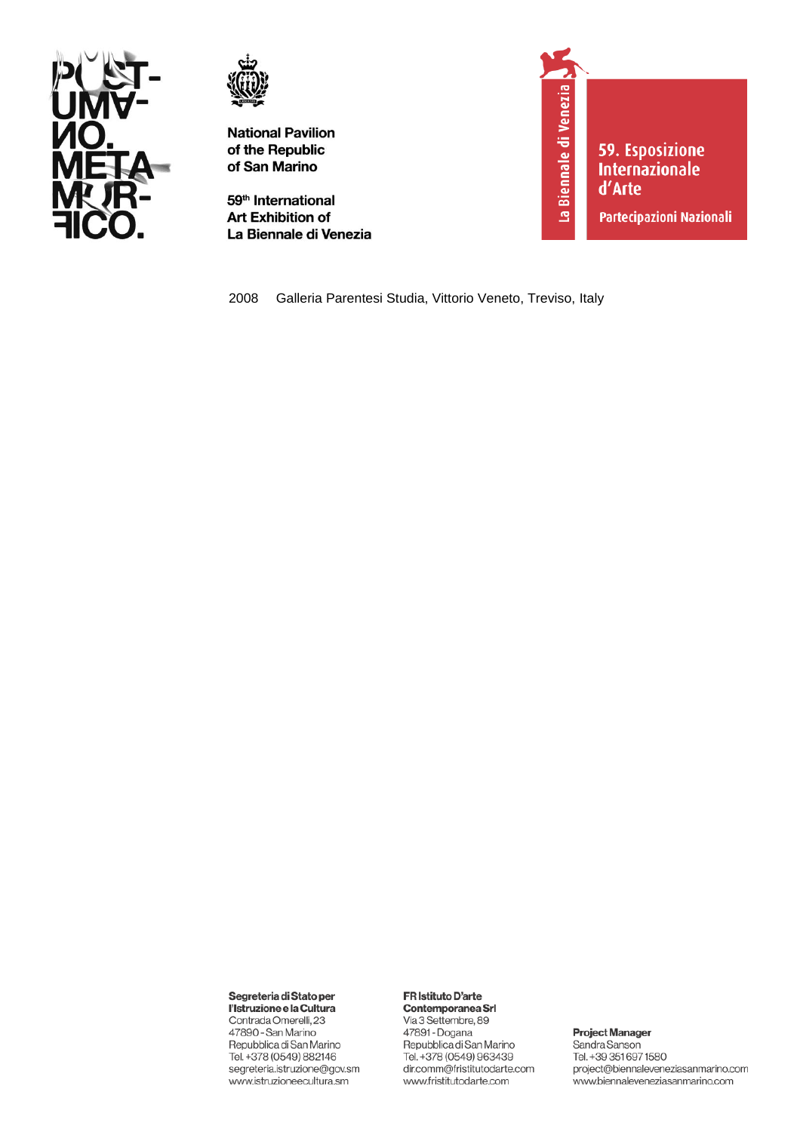



59<sup>th</sup> International **Art Exhibition of** La Biennale di Venezia



59. Esposizione **Internazionale** d'Arte

Partecipazioni Nazionali

2008 Galleria Parentesi Studia, Vittorio Veneto, Treviso, Italy

### Segreteria di Stato per

l'Istruzione e la Cultura Contrada Omerelli, 23 47890 - San Marino Repubblica di San Marino Tel. +378 (0549) 882146 segreteria.istruzione@gov.sm www.istruzioneecultura.sm

# FR Istituto D'arte

Contemporanea Srl Via 3 Settembre, 89 47891 - Dogana Repubblica di San Marino Tel. +378 (0549) 963439 dir.comm@fristitutodarte.com www.fristitutodarte.com

### **Project Manager**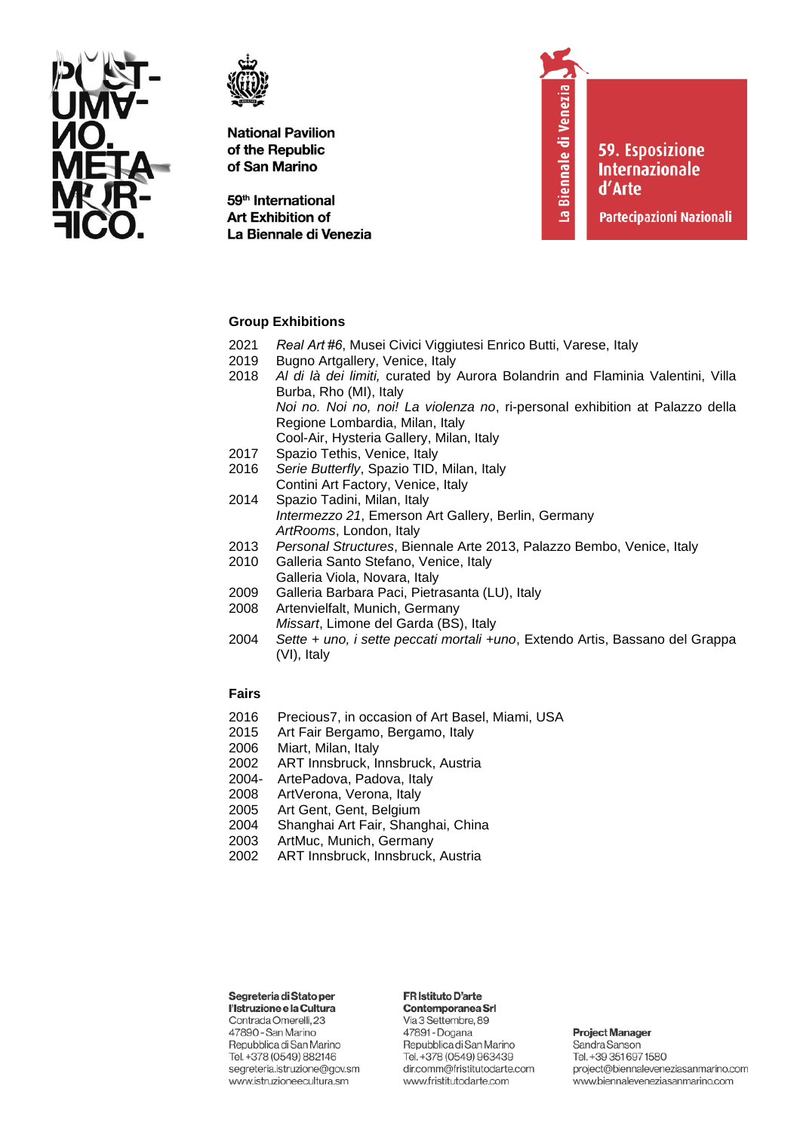



59<sup>th</sup> International **Art Exhibition of** La Biennale di Venezia La Biennale di Venezia

**59. Esposizione** 

**Internazionale** 

**Partecipazioni Nazionali** 

d'Arte

## **Group Exhibitions**

- 2021 *Real Art #6*, Musei Civici Viggiutesi Enrico Butti, Varese, Italy
- 2019 Bugno Artgallery, Venice, Italy
- 2018 *Al di là dei limiti,* curated by Aurora Bolandrin and Flaminia Valentini, Villa Burba, Rho (MI), Italy *Noi no. Noi no, noi! La violenza no*, ri-personal exhibition at Palazzo della Regione Lombardia, Milan, Italy Cool-Air, Hysteria Gallery, Milan, Italy
- 2017 Spazio Tethis, Venice, Italy
- 2016 *Serie Butterfly*, Spazio TID, Milan, Italy Contini Art Factory, Venice, Italy
- 2014 Spazio Tadini, Milan, Italy *Intermezzo 21*, Emerson Art Gallery, Berlin, Germany *ArtRooms*, London, Italy
- 2013 *Personal Structures*, Biennale Arte 2013, Palazzo Bembo, Venice, Italy
- 2010 Galleria Santo Stefano, Venice, Italy Galleria Viola, Novara, Italy
- 2009 Galleria Barbara Paci, Pietrasanta (LU), Italy
- 2008 Artenvielfalt, Munich, Germany *Missart*, Limone del Garda (BS), Italy
- 2004 *Sette + uno, i sette peccati mortali +uno*, Extendo Artis, Bassano del Grappa (VI), Italy

## **Fairs**

- 2016 Precious7, in occasion of Art Basel, Miami, USA
- 2015 Art Fair Bergamo, Bergamo, Italy
- 2006 Miart, Milan, Italy
- 2002 ART Innsbruck, Innsbruck, Austria
- 2004- ArtePadova, Padova, Italy
- 2008 ArtVerona, Verona, Italy
- 2005 Art Gent, Gent, Belgium
- 2004 Shanghai Art Fair, Shanghai, China
- 2003 ArtMuc, Munich, Germany
- 2002 ART Innsbruck, Innsbruck, Austria

## Segreteria di Stato per

l'Istruzione e la Cultura Contrada Omerelli, 23 47890 - San Marino Repubblica di San Marino Tel. +378 (0549) 882146 segreteria.istruzione@gov.sm www.istruzioneecultura.sm

# FR Istituto D'arte

Contemporanea Srl Via 3 Settembre, 89 47891 - Dogana Repubblica di San Marino Tel. +378 (0549) 963439 dir.comm@fristitutodarte.com www.fristitutodarte.com

#### **Project Manager**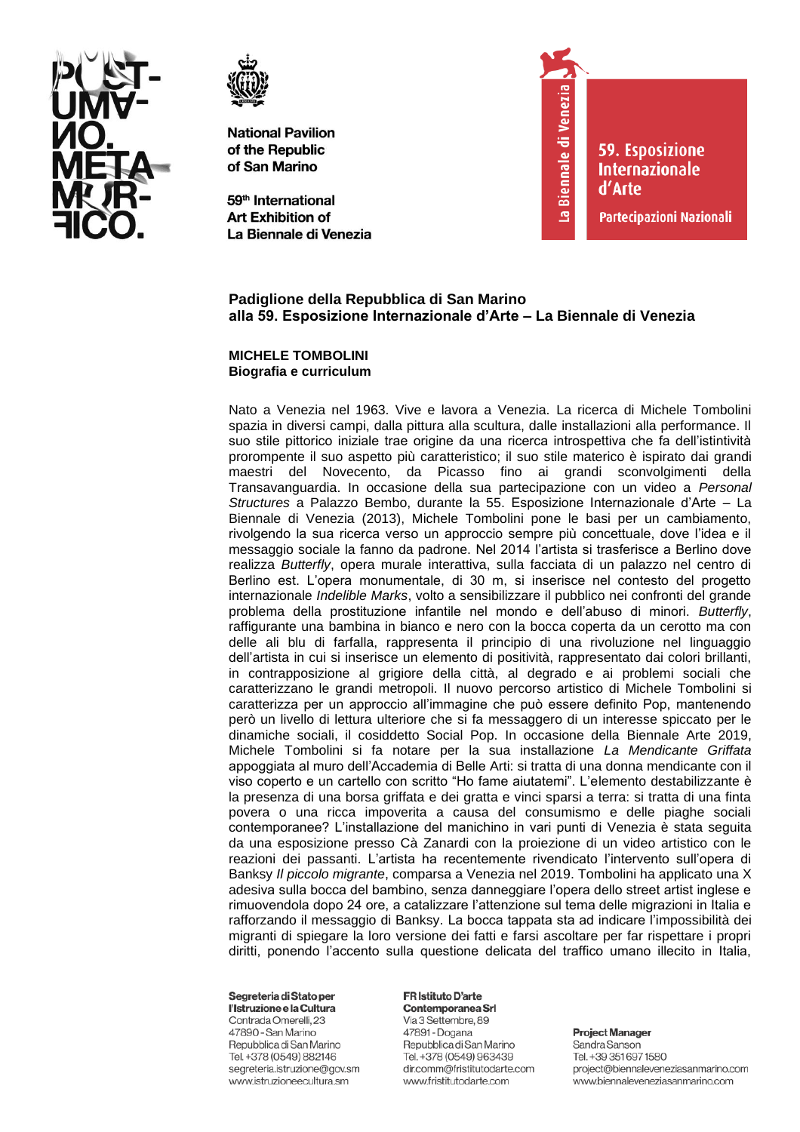



59<sup>th</sup> International **Art Exhibition of** La Biennale di Venezia



**59. Esposizione Internazionale** d'Arte

Partecipazioni Nazionali

# Padiglione della Repubblica di San Marino alla 59. Esposizione Internazionale d'Arte - La Biennale di Venezia

## **MICHELE TOMBOLINI** Biografia e curriculum

Nato a Venezia nel 1963. Vive e lavora a Venezia. La ricerca di Michele Tombolini spazia in diversi campi, dalla pittura alla scultura, dalle installazioni alla performance. Il suo stile pittorico iniziale trae origine da una ricerca introspettiva che fa dell'istintività prorompente il suo aspetto più caratteristico; il suo stile materico è ispirato dai grandi maestri del Novecento, da Picasso fino ai grandi sconvolgimenti della Transavanguardia. In occasione della sua partecipazione con un video a Personal Structures a Palazzo Bembo, durante la 55. Esposizione Internazionale d'Arte - La Biennale di Venezia (2013), Michele Tombolini pone le basi per un cambiamento, rivolgendo la sua ricerca verso un approccio sempre più concettuale, dove l'idea e il messaggio sociale la fanno da padrone. Nel 2014 l'artista si trasferisce a Berlino dove realizza Butterfly, opera murale interattiva, sulla facciata di un palazzo nel centro di Berlino est. L'opera monumentale, di 30 m, si inserisce nel contesto del progetto internazionale *Indelible Marks*, volto a sensibilizzare il pubblico nei confronti del grande problema della prostituzione infantile nel mondo e dell'abuso di minori. Butterfly, raffigurante una bambina in bianco e nero con la bocca coperta da un cerotto ma con delle ali blu di farfalla, rappresenta il principio di una rivoluzione nel linguaggio dell'artista in cui si inserisce un elemento di positività, rappresentato dai colori brillanti, in contrapposizione al grigiore della città, al degrado e ai problemi sociali che caratterizzano le grandi metropoli. Il nuovo percorso artistico di Michele Tombolini si caratterizza per un approccio all'immagine che può essere definito Pop, mantenendo però un livello di lettura ulteriore che si fa messaggero di un interesse spiccato per le dinamiche sociali, il cosiddetto Social Pop. In occasione della Biennale Arte 2019, Michele Tombolini si fa notare per la sua installazione La Mendicante Griffata appoggiata al muro dell'Accademia di Belle Arti: si tratta di una donna mendicante con il viso coperto e un cartello con scritto "Ho fame aiutatemi". L'elemento destabilizzante è la presenza di una borsa griffata e dei gratta e vinci sparsi a terra: si tratta di una finta povera o una ricca impoverita a causa del consumismo e delle piaghe sociali contemporanee? L'installazione del manichino in vari punti di Venezia è stata seguita da una esposizione presso Cà Zanardi con la proiezione di un video artistico con le reazioni dei passanti. L'artista ha recentemente rivendicato l'intervento sull'opera di Banksy Il piccolo migrante, comparsa a Venezia nel 2019. Tombolini ha applicato una X adesiva sulla bocca del bambino, senza danneggiare l'opera dello street artist inglese e rimuovendola dopo 24 ore, a catalizzare l'attenzione sul tema delle migrazioni in Italia e rafforzando il messaggio di Banksy. La bocca tappata sta ad indicare l'impossibilità dei migranti di spiegare la loro versione dei fatti e farsi ascoltare per far rispettare i propri diritti, ponendo l'accento sulla questione delicata del traffico umano illecito in Italia,

### Segreteria di Stato per

l'Istruzione e la Cultura Contrada Omerelli, 23 47890 - San Marino Repubblica di San Marino Tel. +378 (0549) 882146 segreteria.istruzione@gov.sm www.istruzioneecultura.sm

#### **FR Istituto D'arte** Contemporanea Srl

Via 3 Settembre, 89 47891 - Dogana Repubblica di San Marino Tel. +378 (0549) 963439 dir.comm@fristitutodarte.com www.fristitutodarte.com

**Project Manager**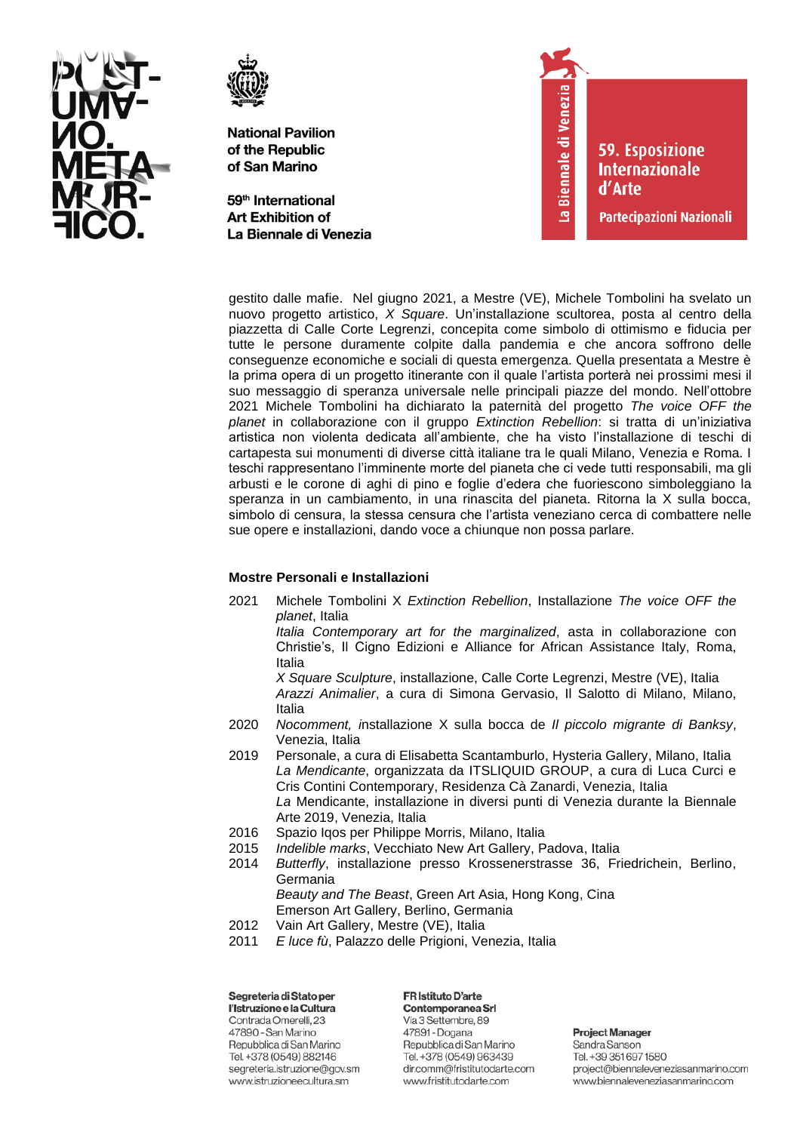



59<sup>th</sup> International **Art Exhibition of** La Biennale di Venezia



**59. Esposizione Internazionale** d'Arte

Partecipazioni Nazionali

gestito dalle mafie. Nel giugno 2021, a Mestre (VE), Michele Tombolini ha svelato un nuovo progetto artistico, *X Square*. Un'installazione scultorea, posta al centro della piazzetta di Calle Corte Legrenzi, concepita come simbolo di ottimismo e fiducia per tutte le persone duramente colpite dalla pandemia e che ancora soffrono delle conseguenze economiche e sociali di questa emergenza. Quella presentata a Mestre è la prima opera di un progetto itinerante con il quale l'artista porterà nei prossimi mesi il suo messaggio di speranza universale nelle principali piazze del mondo. Nell'ottobre 2021 Michele Tombolini ha dichiarato la paternità del progetto *The voice OFF the planet* in collaborazione con il gruppo *Extinction Rebellion*: si tratta di un'iniziativa artistica non violenta dedicata all'ambiente, che ha visto l'installazione di teschi di cartapesta sui monumenti di diverse città italiane tra le quali Milano, Venezia e Roma. I teschi rappresentano l'imminente morte del pianeta che ci vede tutti responsabili, ma gli arbusti e le corone di aghi di pino e foglie d'edera che fuoriescono simboleggiano la speranza in un cambiamento, in una rinascita del pianeta. Ritorna la X sulla bocca, simbolo di censura, la stessa censura che l'artista veneziano cerca di combattere nelle sue opere e installazioni, dando voce a chiunque non possa parlare.

# **Mostre Personali e Installazioni**

2021 Michele Tombolini X *Extinction Rebellion*, Installazione *The voice OFF the planet*, Italia

*Italia Contemporary art for the marginalized*, asta in collaborazione con Christie's, Il Cigno Edizioni e Alliance for African Assistance Italy, Roma, Italia

*X Square Sculpture*, installazione, Calle Corte Legrenzi, Mestre (VE), Italia *Arazzi Animalier*, a cura di Simona Gervasio, Il Salotto di Milano, Milano, Italia

- 2020 *Nocomment, i*nstallazione X sulla bocca de *Il piccolo migrante di Banksy*, Venezia, Italia
- 2019 Personale, a cura di Elisabetta Scantamburlo, Hysteria Gallery, Milano, Italia *La Mendicante*, organizzata da ITSLIQUID GROUP, a cura di Luca Curci e Cris Contini Contemporary, Residenza Cà Zanardi, Venezia, Italia *La* Mendicante, installazione in diversi punti di Venezia durante la Biennale Arte 2019, Venezia, Italia
- 2016 Spazio Iqos per Philippe Morris, Milano, Italia
- 2015 *Indelible marks*, Vecchiato New Art Gallery, Padova, Italia
- 2014 *Butterfly*, installazione presso Krossenerstrasse 36, Friedrichein, Berlino, Germania *Beauty and The Beast*, Green Art Asia, Hong Kong, Cina
	- Emerson Art Gallery, Berlino, Germania
- 2012 Vain Art Gallery, Mestre (VE), Italia
- 2011 *E luce fù*, Palazzo delle Prigioni, Venezia, Italia

Segreteria di Stato per l'Istruzione e la Cultura Contrada Omerelli, 23 47890 - San Marino Repubblica di San Marino Tel. +378 (0549) 882146 segreteria.istruzione@gov.sm www.istruzioneecultura.sm

FR Istituto D'arte Contemporanea Srl Via 3 Settembre, 89 47891 - Dogana Repubblica di San Marino Tel. +378 (0549) 963439 dir.comm@fristitutodarte.com

www.fristitutodarte.com